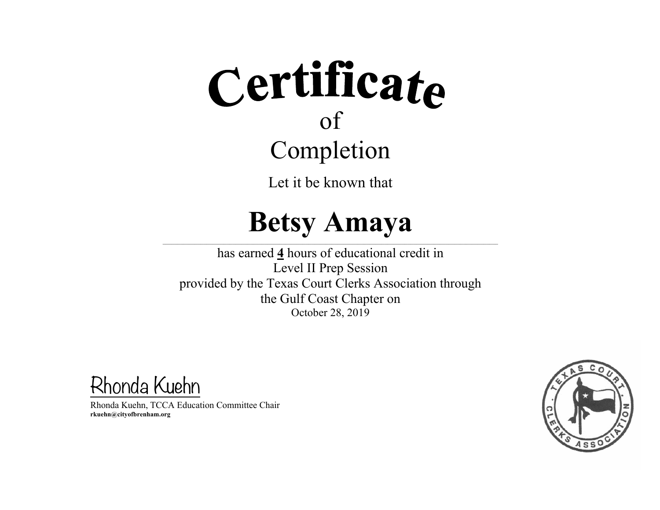Let it be known that

### **Betsy Amaya**

 $\mathcal{L} = \{ \mathcal{L} = \{ \mathcal{L} = \{ \mathcal{L} = \{ \mathcal{L} = \{ \mathcal{L} = \{ \mathcal{L} = \{ \mathcal{L} = \{ \mathcal{L} = \{ \mathcal{L} = \{ \mathcal{L} = \{ \mathcal{L} = \{ \mathcal{L} = \{ \mathcal{L} = \{ \mathcal{L} = \{ \mathcal{L} = \{ \mathcal{L} = \{ \mathcal{L} = \{ \mathcal{L} = \{ \mathcal{L} = \{ \mathcal{L} = \{ \mathcal{L} = \{ \mathcal{L} = \{ \mathcal{L} = \{ \mathcal{$ 

has earned **4** hours of educational credit in Level II Prep Session provided by the Texas Court Clerks Association through the Gulf Coast Chapter on October 28, 2019

Rhonda Kuehn

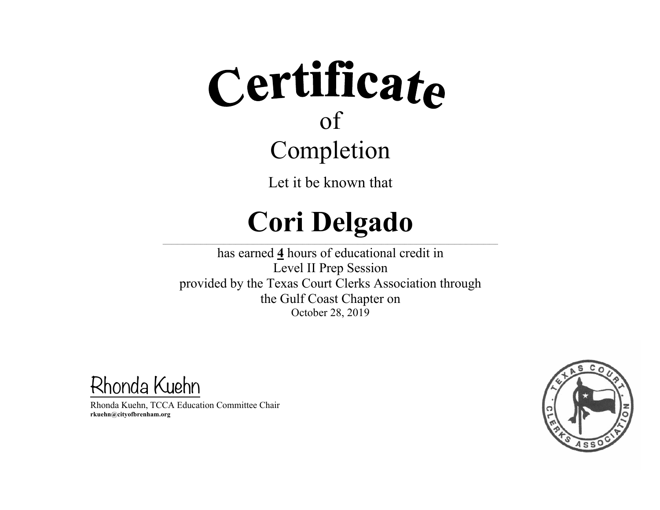Let it be known that

#### **Cori Delgado**  $\mathcal{L} = \{ \mathcal{L} = \{ \mathcal{L} = \{ \mathcal{L} = \{ \mathcal{L} = \{ \mathcal{L} = \{ \mathcal{L} = \{ \mathcal{L} = \{ \mathcal{L} = \{ \mathcal{L} = \{ \mathcal{L} = \{ \mathcal{L} = \{ \mathcal{L} = \{ \mathcal{L} = \{ \mathcal{L} = \{ \mathcal{L} = \{ \mathcal{L} = \{ \mathcal{L} = \{ \mathcal{L} = \{ \mathcal{L} = \{ \mathcal{L} = \{ \mathcal{L} = \{ \mathcal{L} = \{ \mathcal{L} = \{ \mathcal{$

has earned **4** hours of educational credit in Level II Prep Session provided by the Texas Court Clerks Association through the Gulf Coast Chapter on October 28, 2019

Rhonda Kuehn

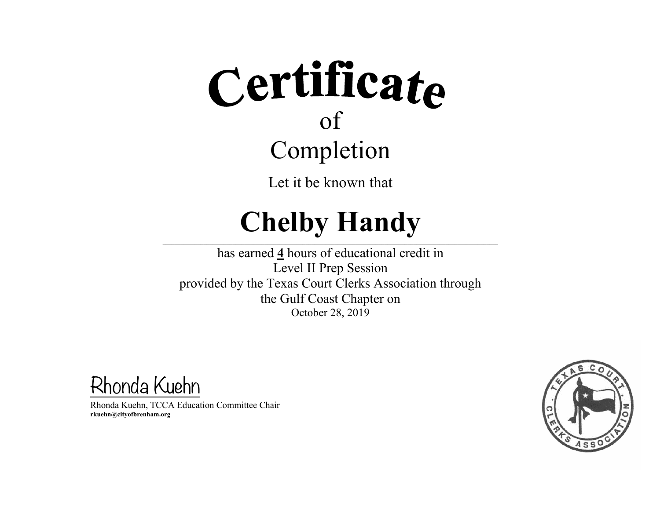Let it be known that

#### **Chelby Handy**  $\mathcal{L} = \{ \mathcal{L} = \{ \mathcal{L} = \{ \mathcal{L} = \{ \mathcal{L} = \{ \mathcal{L} = \{ \mathcal{L} = \{ \mathcal{L} = \{ \mathcal{L} = \{ \mathcal{L} = \{ \mathcal{L} = \{ \mathcal{L} = \{ \mathcal{L} = \{ \mathcal{L} = \{ \mathcal{L} = \{ \mathcal{L} = \{ \mathcal{L} = \{ \mathcal{L} = \{ \mathcal{L} = \{ \mathcal{L} = \{ \mathcal{L} = \{ \mathcal{L} = \{ \mathcal{L} = \{ \mathcal{L} = \{ \mathcal{$

has earned **4** hours of educational credit in Level II Prep Session provided by the Texas Court Clerks Association through the Gulf Coast Chapter on October 28, 2019

Rhonda Kuehn

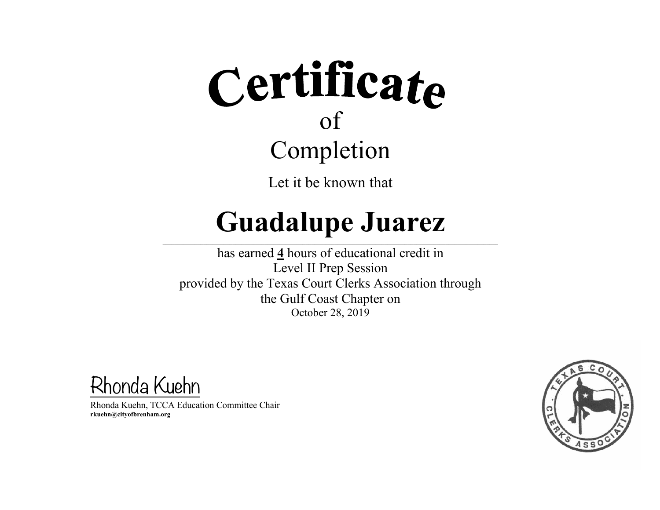Let it be known that

### **Guadalupe Juarez**

 $\mathcal{L} = \{ \mathcal{L} = \{ \mathcal{L} = \{ \mathcal{L} = \{ \mathcal{L} = \{ \mathcal{L} = \{ \mathcal{L} = \{ \mathcal{L} = \{ \mathcal{L} = \{ \mathcal{L} = \{ \mathcal{L} = \{ \mathcal{L} = \{ \mathcal{L} = \{ \mathcal{L} = \{ \mathcal{L} = \{ \mathcal{L} = \{ \mathcal{L} = \{ \mathcal{L} = \{ \mathcal{L} = \{ \mathcal{L} = \{ \mathcal{L} = \{ \mathcal{L} = \{ \mathcal{L} = \{ \mathcal{L} = \{ \mathcal{$ 

has earned **4** hours of educational credit in Level II Prep Session provided by the Texas Court Clerks Association through the Gulf Coast Chapter on October 28, 2019

Rhonda Kuehn

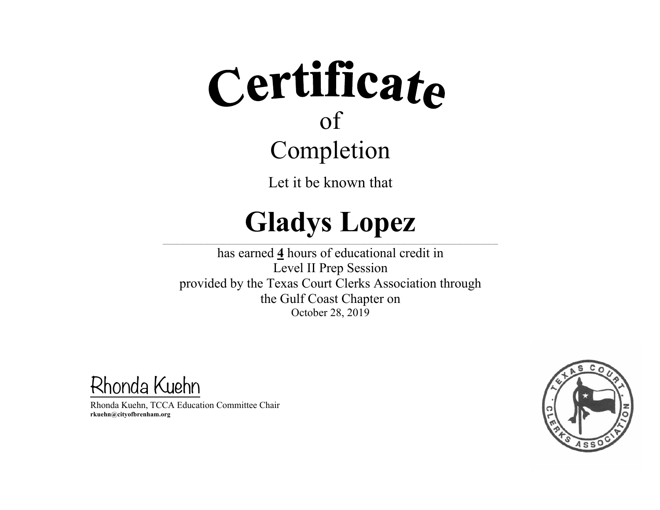Let it be known that

#### **Gladys Lopez**  $\mathcal{L} = \{ \mathcal{L} = \{ \mathcal{L} = \{ \mathcal{L} = \{ \mathcal{L} = \{ \mathcal{L} = \{ \mathcal{L} = \{ \mathcal{L} = \{ \mathcal{L} = \{ \mathcal{L} = \{ \mathcal{L} = \{ \mathcal{L} = \{ \mathcal{L} = \{ \mathcal{L} = \{ \mathcal{L} = \{ \mathcal{L} = \{ \mathcal{L} = \{ \mathcal{L} = \{ \mathcal{L} = \{ \mathcal{L} = \{ \mathcal{L} = \{ \mathcal{L} = \{ \mathcal{L} = \{ \mathcal{L} = \{ \mathcal{$

has earned **4** hours of educational credit in Level II Prep Session provided by the Texas Court Clerks Association through the Gulf Coast Chapter on October 28, 2019

Rhonda Kuehn

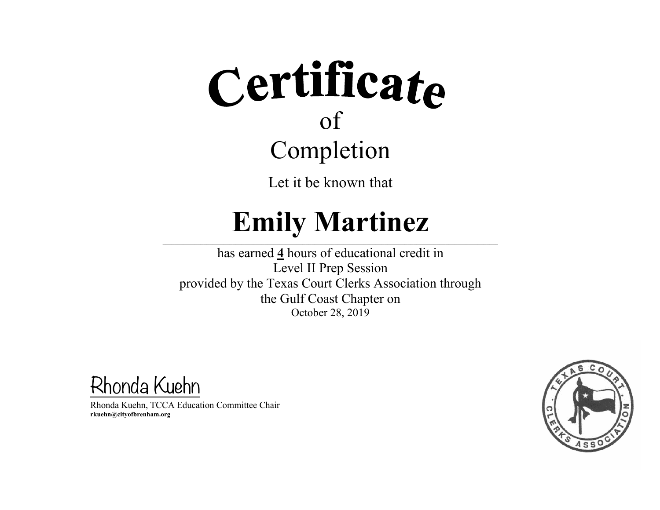Let it be known that

### **Emily Martinez**

 $\mathcal{L} = \{ \mathcal{L} = \{ \mathcal{L} = \{ \mathcal{L} = \{ \mathcal{L} = \{ \mathcal{L} = \{ \mathcal{L} = \{ \mathcal{L} = \{ \mathcal{L} = \{ \mathcal{L} = \{ \mathcal{L} = \{ \mathcal{L} = \{ \mathcal{L} = \{ \mathcal{L} = \{ \mathcal{L} = \{ \mathcal{L} = \{ \mathcal{L} = \{ \mathcal{L} = \{ \mathcal{L} = \{ \mathcal{L} = \{ \mathcal{L} = \{ \mathcal{L} = \{ \mathcal{L} = \{ \mathcal{L} = \{ \mathcal{$ 

has earned **4** hours of educational credit in Level II Prep Session provided by the Texas Court Clerks Association through the Gulf Coast Chapter on October 28, 2019

Rhonda Kuehn

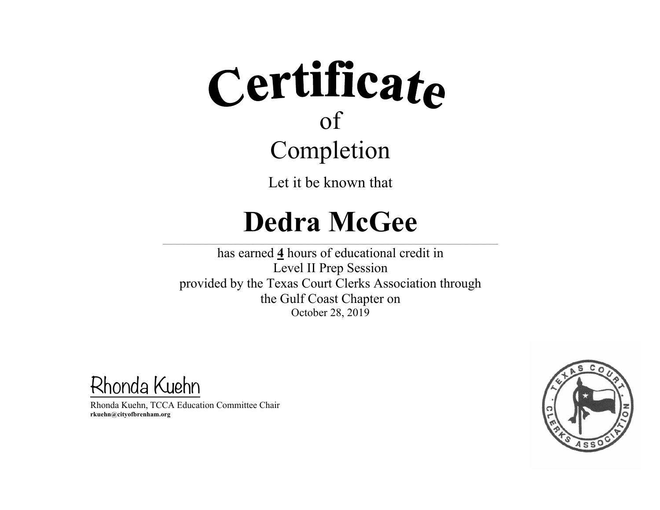Let it be known that

### **Dedra McGee**

 $\mathcal{L} = \{ \mathcal{L} = \{ \mathcal{L} = \{ \mathcal{L} = \{ \mathcal{L} = \{ \mathcal{L} = \{ \mathcal{L} = \{ \mathcal{L} = \{ \mathcal{L} = \{ \mathcal{L} = \{ \mathcal{L} = \{ \mathcal{L} = \{ \mathcal{L} = \{ \mathcal{L} = \{ \mathcal{L} = \{ \mathcal{L} = \{ \mathcal{L} = \{ \mathcal{L} = \{ \mathcal{L} = \{ \mathcal{L} = \{ \mathcal{L} = \{ \mathcal{L} = \{ \mathcal{L} = \{ \mathcal{L} = \{ \mathcal{$ 

has earned **4** hours of educational credit in Level II Prep Session provided by the Texas Court Clerks Association through the Gulf Coast Chapter on October 28, 2019

Rhonda Kuehn

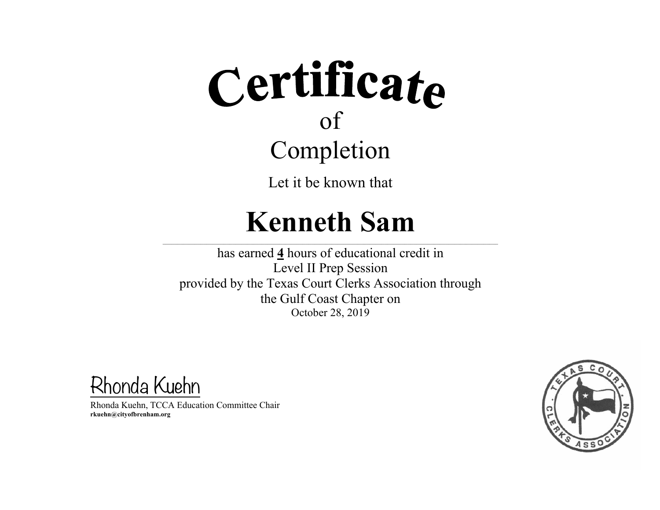Let it be known that

### **Kenneth Sam**

 $\mathcal{L}_\text{max}$ 

 $\mathcal{L}_\text{max}$  and the contract of the contract of the contract of the contract of the contract of the contract of the contract of the contract of the contract of the contract of the contract of the contract of the contrac

has earned **4** hours of educational credit in Level II Prep Session provided by the Texas Court Clerks Association through the Gulf Coast Chapter on October 28, 2019

Rhonda Kuehn

Rhonda Kuehn, TCCA Education Committee Chair **rkuehn@cityofbrenham.org**

 $\mathcal{L}_\text{max}$  and the contract of the contract of the contract of the contract of the contract of the contract of the contract of the contract of the contract of the contract of the contract of the contract of the contrac